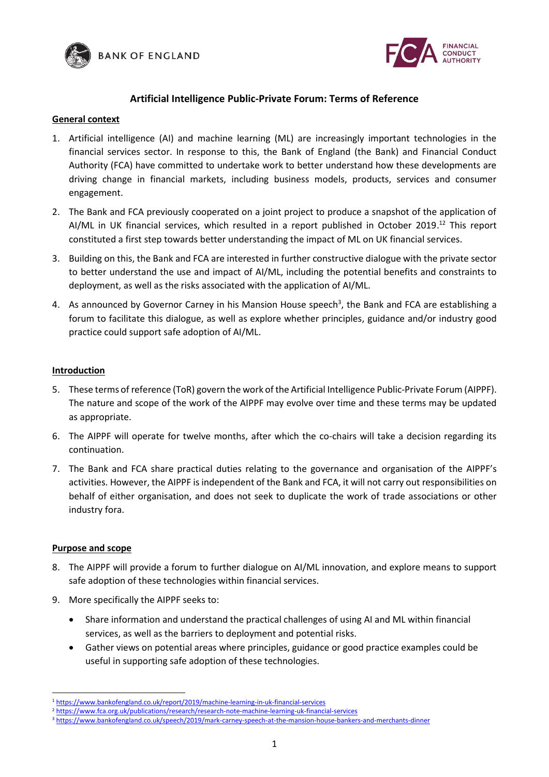



# **Artificial Intelligence Public-Private Forum: Terms of Reference**

## **General context**

- 1. Artificial intelligence (AI) and machine learning (ML) are increasingly important technologies in the financial services sector. In response to this, the Bank of England (the Bank) and Financial Conduct Authority (FCA) have committed to undertake work to better understand how these developments are driving change in financial markets, including business models, products, services and consumer engagement.
- 2. The Bank and FCA previously cooperated on a joint project to produce a snapshot of the application of AI/ML in UK financial services, which resulted in a report published in October 2019. <sup>12</sup> This report constituted a first step towards better understanding the impact of ML on UK financial services.
- 3. Building on this, the Bank and FCA are interested in further constructive dialogue with the private sector to better understand the use and impact of AI/ML, including the potential benefits and constraints to deployment, as well as the risks associated with the application of AI/ML.
- 4. As announced by Governor Carney in his Mansion House speech<sup>3</sup>, the Bank and FCA are establishing a forum to facilitate this dialogue, as well as explore whether principles, guidance and/or industry good practice could support safe adoption of AI/ML.

## **Introduction**

- 5. These terms of reference (ToR) govern the work of the Artificial Intelligence Public-Private Forum (AIPPF). The nature and scope of the work of the AIPPF may evolve over time and these terms may be updated as appropriate.
- 6. The AIPPF will operate for twelve months, after which the co-chairs will take a decision regarding its continuation.
- 7. The Bank and FCA share practical duties relating to the governance and organisation of the AIPPF's activities. However, the AIPPF is independent of the Bank and FCA, it will not carry out responsibilities on behalf of either organisation, and does not seek to duplicate the work of trade associations or other industry fora.

## **Purpose and scope**

- 8. The AIPPF will provide a forum to further dialogue on AI/ML innovation, and explore means to support safe adoption of these technologies within financial services.
- 9. More specifically the AIPPF seeks to:
	- Share information and understand the practical challenges of using AI and ML within financial services, as well as the barriers to deployment and potential risks.
	- Gather views on potential areas where principles, guidance or good practice examples could be useful in supporting safe adoption of these technologies.

<sup>1</sup> <sup>1</sup> <https://www.bankofengland.co.uk/report/2019/machine-learning-in-uk-financial-services>

<sup>2</sup> <https://www.fca.org.uk/publications/research/research-note-machine-learning-uk-financial-services>

<sup>3</sup> <https://www.bankofengland.co.uk/speech/2019/mark-carney-speech-at-the-mansion-house-bankers-and-merchants-dinner>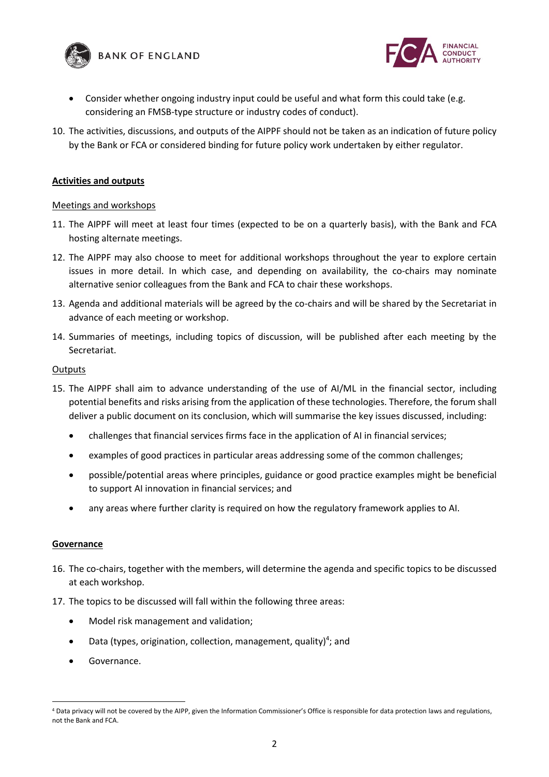



- Consider whether ongoing industry input could be useful and what form this could take (e.g. considering an FMSB-type structure or industry codes of conduct).
- 10. The activities, discussions, and outputs of the AIPPF should not be taken as an indication of future policy by the Bank or FCA or considered binding for future policy work undertaken by either regulator.

## **Activities and outputs**

## Meetings and workshops

- 11. The AIPPF will meet at least four times (expected to be on a quarterly basis), with the Bank and FCA hosting alternate meetings.
- 12. The AIPPF may also choose to meet for additional workshops throughout the year to explore certain issues in more detail. In which case, and depending on availability, the co-chairs may nominate alternative senior colleagues from the Bank and FCA to chair these workshops.
- 13. Agenda and additional materials will be agreed by the co-chairs and will be shared by the Secretariat in advance of each meeting or workshop.
- 14. Summaries of meetings, including topics of discussion, will be published after each meeting by the Secretariat.

#### **Outputs**

- 15. The AIPPF shall aim to advance understanding of the use of AI/ML in the financial sector, including potential benefits and risks arising from the application of these technologies. Therefore, the forum shall deliver a public document on its conclusion, which will summarise the key issues discussed, including:
	- challenges that financial services firms face in the application of AI in financial services;
	- examples of good practices in particular areas addressing some of the common challenges;
	- possible/potential areas where principles, guidance or good practice examples might be beneficial to support AI innovation in financial services; and
	- any areas where further clarity is required on how the regulatory framework applies to AI.

## **Governance**

 $\overline{a}$ 

- 16. The co-chairs, together with the members, will determine the agenda and specific topics to be discussed at each workshop.
- 17. The topics to be discussed will fall within the following three areas:
	- Model risk management and validation;
	- Data (types, origination, collection, management, quality)<sup>4</sup>; and
	- Governance.

<sup>4</sup> Data privacy will not be covered by the AIPP, given the Information Commissioner's Office is responsible for data protection laws and regulations, not the Bank and FCA.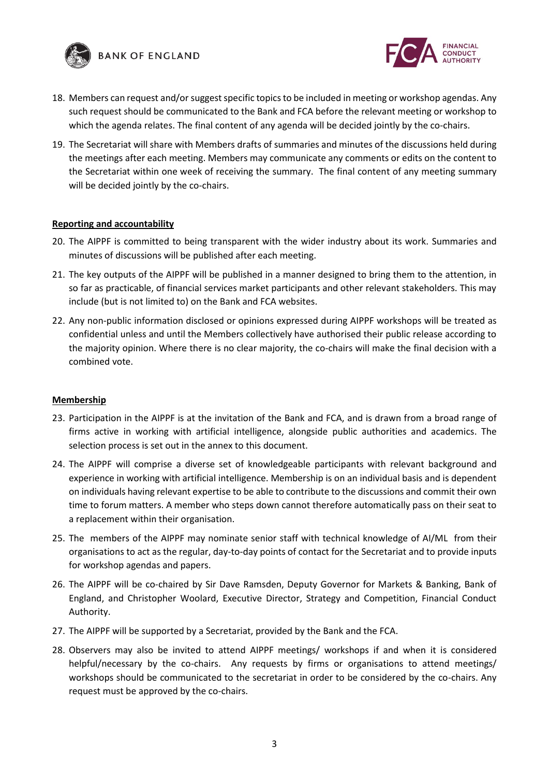



- 18. Members can request and/or suggest specific topics to be included in meeting or workshop agendas. Any such request should be communicated to the Bank and FCA before the relevant meeting or workshop to which the agenda relates. The final content of any agenda will be decided jointly by the co-chairs.
- 19. The Secretariat will share with Members drafts of summaries and minutes of the discussions held during the meetings after each meeting. Members may communicate any comments or edits on the content to the Secretariat within one week of receiving the summary. The final content of any meeting summary will be decided jointly by the co-chairs.

## **Reporting and accountability**

- 20. The AIPPF is committed to being transparent with the wider industry about its work. Summaries and minutes of discussions will be published after each meeting.
- 21. The key outputs of the AIPPF will be published in a manner designed to bring them to the attention, in so far as practicable, of financial services market participants and other relevant stakeholders. This may include (but is not limited to) on the Bank and FCA websites.
- 22. Any non-public information disclosed or opinions expressed during AIPPF workshops will be treated as confidential unless and until the Members collectively have authorised their public release according to the majority opinion. Where there is no clear majority, the co-chairs will make the final decision with a combined vote.

## **Membership**

- 23. Participation in the AIPPF is at the invitation of the Bank and FCA, and is drawn from a broad range of firms active in working with artificial intelligence, alongside public authorities and academics. The selection process is set out in the annex to this document.
- 24. The AIPPF will comprise a diverse set of knowledgeable participants with relevant background and experience in working with artificial intelligence. Membership is on an individual basis and is dependent on individuals having relevant expertise to be able to contribute to the discussions and commit their own time to forum matters. A member who steps down cannot therefore automatically pass on their seat to a replacement within their organisation.
- 25. The members of the AIPPF may nominate senior staff with technical knowledge of AI/ML from their organisations to act as the regular, day-to-day points of contact for the Secretariat and to provide inputs for workshop agendas and papers.
- 26. The AIPPF will be co-chaired by Sir Dave Ramsden, Deputy Governor for Markets & Banking, Bank of England, and Christopher Woolard, Executive Director, Strategy and Competition, Financial Conduct Authority.
- 27. The AIPPF will be supported by a Secretariat, provided by the Bank and the FCA.
- 28. Observers may also be invited to attend AIPPF meetings/ workshops if and when it is considered helpful/necessary by the co-chairs. Any requests by firms or organisations to attend meetings/ workshops should be communicated to the secretariat in order to be considered by the co-chairs. Any request must be approved by the co-chairs.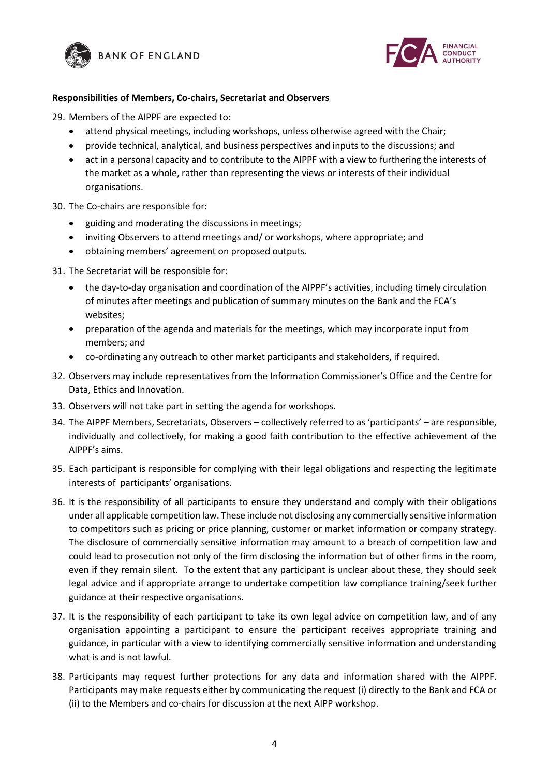



## **Responsibilities of Members, Co-chairs, Secretariat and Observers**

- 29. Members of the AIPPF are expected to:
	- attend physical meetings, including workshops, unless otherwise agreed with the Chair;
	- provide technical, analytical, and business perspectives and inputs to the discussions; and
	- act in a personal capacity and to contribute to the AIPPF with a view to furthering the interests of the market as a whole, rather than representing the views or interests of their individual organisations.
- 30. The Co-chairs are responsible for:
	- guiding and moderating the discussions in meetings;
	- inviting Observers to attend meetings and/ or workshops, where appropriate; and
	- obtaining members' agreement on proposed outputs.
- 31. The Secretariat will be responsible for:
	- the day-to-day organisation and coordination of the AIPPF's activities, including timely circulation of minutes after meetings and publication of summary minutes on the Bank and the FCA's websites;
	- preparation of the agenda and materials for the meetings, which may incorporate input from members; and
	- co-ordinating any outreach to other market participants and stakeholders, if required.
- 32. Observers may include representatives from the Information Commissioner's Office and the Centre for Data, Ethics and Innovation.
- 33. Observers will not take part in setting the agenda for workshops.
- 34. The AIPPF Members, Secretariats, Observers collectively referred to as 'participants' are responsible, individually and collectively, for making a good faith contribution to the effective achievement of the AIPPF's aims.
- 35. Each participant is responsible for complying with their legal obligations and respecting the legitimate interests of participants' organisations.
- 36. It is the responsibility of all participants to ensure they understand and comply with their obligations under all applicable competition law. These include not disclosing any commercially sensitive information to competitors such as pricing or price planning, customer or market information or company strategy. The disclosure of commercially sensitive information may amount to a breach of competition law and could lead to prosecution not only of the firm disclosing the information but of other firms in the room, even if they remain silent. To the extent that any participant is unclear about these, they should seek legal advice and if appropriate arrange to undertake competition law compliance training/seek further guidance at their respective organisations.
- 37. It is the responsibility of each participant to take its own legal advice on competition law, and of any organisation appointing a participant to ensure the participant receives appropriate training and guidance, in particular with a view to identifying commercially sensitive information and understanding what is and is not lawful.
- 38. Participants may request further protections for any data and information shared with the AIPPF. Participants may make requests either by communicating the request (i) directly to the Bank and FCA or (ii) to the Members and co-chairs for discussion at the next AIPP workshop.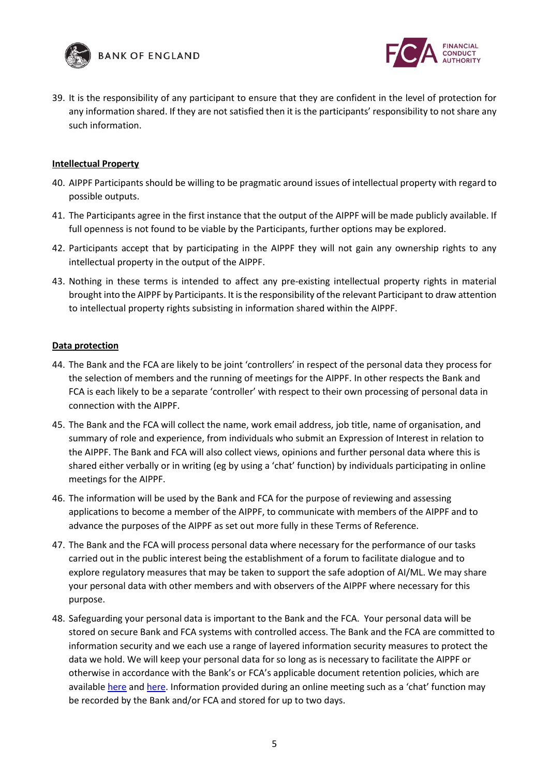



39. It is the responsibility of any participant to ensure that they are confident in the level of protection for any information shared. If they are not satisfied then it is the participants' responsibility to not share any such information.

## **Intellectual Property**

- 40. AIPPF Participants should be willing to be pragmatic around issues of intellectual property with regard to possible outputs.
- 41. The Participants agree in the first instance that the output of the AIPPF will be made publicly available. If full openness is not found to be viable by the Participants, further options may be explored.
- 42. Participants accept that by participating in the AIPPF they will not gain any ownership rights to any intellectual property in the output of the AIPPF.
- 43. Nothing in these terms is intended to affect any pre-existing intellectual property rights in material brought into the AIPPF by Participants. It is the responsibility of the relevant Participant to draw attention to intellectual property rights subsisting in information shared within the AIPPF.

## **Data protection**

- 44. The Bank and the FCA are likely to be joint 'controllers' in respect of the personal data they process for the selection of members and the running of meetings for the AIPPF. In other respects the Bank and FCA is each likely to be a separate 'controller' with respect to their own processing of personal data in connection with the AIPPF.
- 45. The Bank and the FCA will collect the name, work email address, job title, name of organisation, and summary of role and experience, from individuals who submit an Expression of Interest in relation to the AIPPF. The Bank and FCA will also collect views, opinions and further personal data where this is shared either verbally or in writing (eg by using a 'chat' function) by individuals participating in online meetings for the AIPPF.
- 46. The information will be used by the Bank and FCA for the purpose of reviewing and assessing applications to become a member of the AIPPF, to communicate with members of the AIPPF and to advance the purposes of the AIPPF as set out more fully in these Terms of Reference.
- 47. The Bank and the FCA will process personal data where necessary for the performance of our tasks carried out in the public interest being the establishment of a forum to facilitate dialogue and to explore regulatory measures that may be taken to support the safe adoption of AI/ML. We may share your personal data with other members and with observers of the AIPPF where necessary for this purpose.
- 48. Safeguarding your personal data is important to the Bank and the FCA. Your personal data will be stored on secure Bank and FCA systems with controlled access. The Bank and the FCA are committed to information security and we each use a range of layered information security measures to protect the data we hold. We will keep your personal data for so long as is necessary to facilitate the AIPPF or otherwise in accordance with the Bank's or FCA's applicable document retention policies, which are availabl[e here](https://www.bankofengland.co.uk/-/media/boe/files/about/human-resources/records-classification-scheme.pdf?la=en&hash=885AC4A5171EA754039755125A7F3210835C5606) and [here](https://www.fca.org.uk/publication/systems-information/retention-schedule.pdf). Information provided during an online meeting such as a 'chat' function may be recorded by the Bank and/or FCA and stored for up to two days.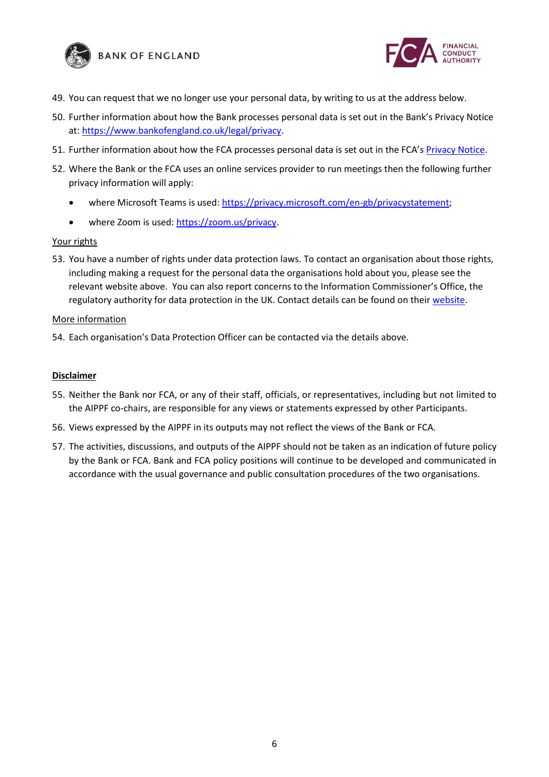



- 49. You can request that we no longer use your personal data, by writing to us at the address below.
- 50. Further information about how the Bank processes personal data is set out in the Bank's Privacy Notice at: [https://www.bankofengland.co.uk/legal/privacy.](https://www.bankofengland.co.uk/legal/privacy)
- 51. Further information about how the FCA processes personal data is set out in the FCA's [Privacy Notice.](https://www.fca.org.uk/privacy)
- 52. Where the Bank or the FCA uses an online services provider to run meetings then the following further privacy information will apply:
	- where Microsoft Teams is used: [https://privacy.microsoft.com/en-gb/privacystatement;](https://privacy.microsoft.com/en-gb/privacystatement)
	- where Zoom is used: [https://zoom.us/privacy.](https://zoom.us/privacy)

## Your rights

53. You have a number of rights under data protection laws. To contact an organisation about those rights, including making a request for the personal data the organisations hold about you, please see the relevant website above. You can also report concerns to the Information Commissioner's Office, the regulatory authority for data protection in the UK. Contact details can be found on their [website.](https://ico.org.uk/concerns)

#### More information

54. Each organisation's Data Protection Officer can be contacted via the details above.

#### **Disclaimer**

- 55. Neither the Bank nor FCA, or any of their staff, officials, or representatives, including but not limited to the AIPPF co-chairs, are responsible for any views or statements expressed by other Participants.
- 56. Views expressed by the AIPPF in its outputs may not reflect the views of the Bank or FCA.
- 57. The activities, discussions, and outputs of the AIPPF should not be taken as an indication of future policy by the Bank or FCA. Bank and FCA policy positions will continue to be developed and communicated in accordance with the usual governance and public consultation procedures of the two organisations.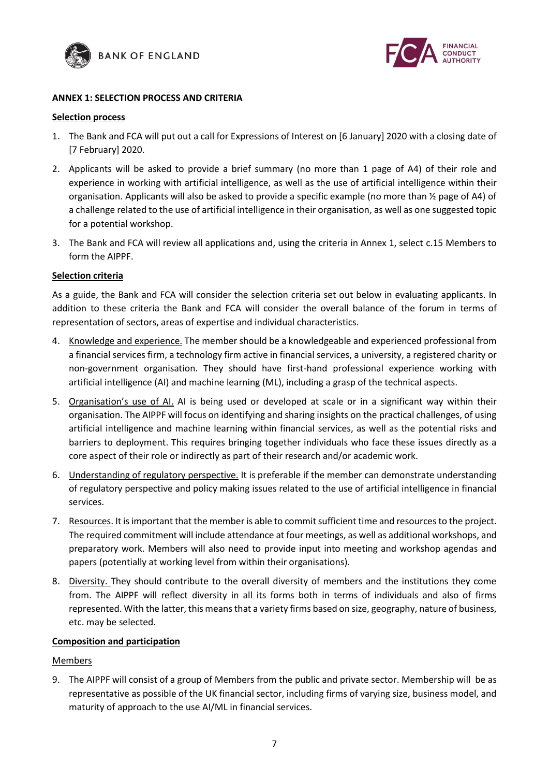



## **ANNEX 1: SELECTION PROCESS AND CRITERIA**

#### **Selection process**

- 1. The Bank and FCA will put out a call for Expressions of Interest on [6 January] 2020 with a closing date of [7 February] 2020.
- 2. Applicants will be asked to provide a brief summary (no more than 1 page of A4) of their role and experience in working with artificial intelligence, as well as the use of artificial intelligence within their organisation. Applicants will also be asked to provide a specific example (no more than ½ page of A4) of a challenge related to the use of artificial intelligence in their organisation, as well as one suggested topic for a potential workshop.
- 3. The Bank and FCA will review all applications and, using the criteria in Annex 1, select c.15 Members to form the AIPPF.

## **Selection criteria**

As a guide, the Bank and FCA will consider the selection criteria set out below in evaluating applicants. In addition to these criteria the Bank and FCA will consider the overall balance of the forum in terms of representation of sectors, areas of expertise and individual characteristics.

- 4. Knowledge and experience. The member should be a knowledgeable and experienced professional from a financial services firm, a technology firm active in financial services, a university, a registered charity or non-government organisation. They should have first-hand professional experience working with artificial intelligence (AI) and machine learning (ML), including a grasp of the technical aspects.
- 5. Organisation's use of AI. AI is being used or developed at scale or in a significant way within their organisation. The AIPPF will focus on identifying and sharing insights on the practical challenges, of using artificial intelligence and machine learning within financial services, as well as the potential risks and barriers to deployment. This requires bringing together individuals who face these issues directly as a core aspect of their role or indirectly as part of their research and/or academic work.
- 6. Understanding of regulatory perspective. It is preferable if the member can demonstrate understanding of regulatory perspective and policy making issues related to the use of artificial intelligence in financial services.
- 7. Resources. It is important that the member is able to commit sufficient time and resources to the project. The required commitment will include attendance at four meetings, as well as additional workshops, and preparatory work. Members will also need to provide input into meeting and workshop agendas and papers (potentially at working level from within their organisations).
- 8. Diversity. They should contribute to the overall diversity of members and the institutions they come from. The AIPPF will reflect diversity in all its forms both in terms of individuals and also of firms represented. With the latter, this means that a variety firms based on size, geography, nature of business, etc. may be selected.

## **Composition and participation**

## Members

9. The AIPPF will consist of a group of Members from the public and private sector. Membership will be as representative as possible of the UK financial sector, including firms of varying size, business model, and maturity of approach to the use AI/ML in financial services.